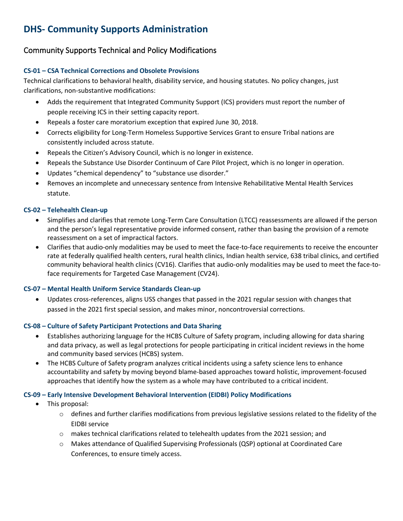# **DHS- Community Supports Administration**

## Community Supports Technical and Policy Modifications

#### **CS-01 – CSA Technical Corrections and Obsolete Provisions**

Technical clarifications to behavioral health, disability service, and housing statutes. No policy changes, just clarifications, non-substantive modifications:

- Adds the requirement that Integrated Community Support (ICS) providers must report the number of people receiving ICS in their setting capacity report.
- Repeals a foster care moratorium exception that expired June 30, 2018.
- Corrects eligibility for Long-Term Homeless Supportive Services Grant to ensure Tribal nations are consistently included across statute.
- Repeals the Citizen's Advisory Council, which is no longer in existence.
- Repeals the Substance Use Disorder Continuum of Care Pilot Project, which is no longer in operation.
- Updates "chemical dependency" to "substance use disorder."
- Removes an incomplete and unnecessary sentence from Intensive Rehabilitative Mental Health Services statute.

#### **CS-02 – Telehealth Clean-up**

- Simplifies and clarifies that remote Long-Term Care Consultation (LTCC) reassessments are allowed if the person and the person's legal representative provide informed consent, rather than basing the provision of a remote reassessment on a set of impractical factors.
- Clarifies that audio-only modalities may be used to meet the face-to-face requirements to receive the encounter rate at federally qualified health centers, rural health clinics, Indian health service, 638 tribal clinics, and certified community behavioral health clinics (CV16). Clarifies that audio-only modalities may be used to meet the face-toface requirements for Targeted Case Management (CV24).

#### **CS-07 – Mental Health Uniform Service Standards Clean-up**

• Updates cross-references, aligns USS changes that passed in the 2021 regular session with changes that passed in the 2021 first special session, and makes minor, noncontroversial corrections.

#### **CS-08 – Culture of Safety Participant Protections and Data Sharing**

- Establishes authorizing language for the HCBS Culture of Safety program, including allowing for data sharing and data privacy, as well as legal protections for people participating in critical incident reviews in the home and community based services (HCBS) system.
- The HCBS Culture of Safety program analyzes critical incidents using a safety science lens to enhance accountability and safety by moving beyond blame-based approaches toward holistic, improvement-focused approaches that identify how the system as a whole may have contributed to a critical incident.

#### **CS-09 – Early Intensive Development Behavioral Intervention (EIDBI) Policy Modifications**

- This proposal:
	- $\circ$  defines and further clarifies modifications from previous legislative sessions related to the fidelity of the EIDBI service
	- o makes technical clarifications related to telehealth updates from the 2021 session; and
	- o Makes attendance of Qualified Supervising Professionals (QSP) optional at Coordinated Care Conferences, to ensure timely access.